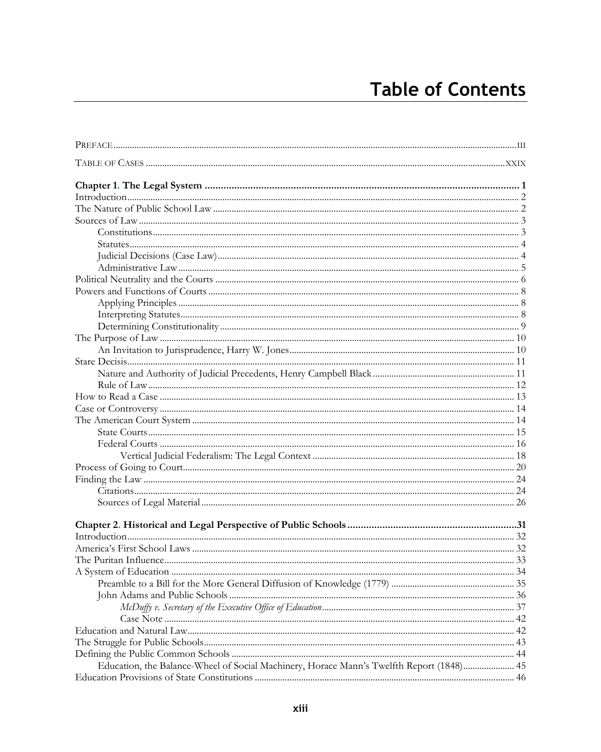| Education, the Balance-Wheel of Social Machinery, Horace Mann's Twelfth Report (1848) 45 |  |
|------------------------------------------------------------------------------------------|--|
|                                                                                          |  |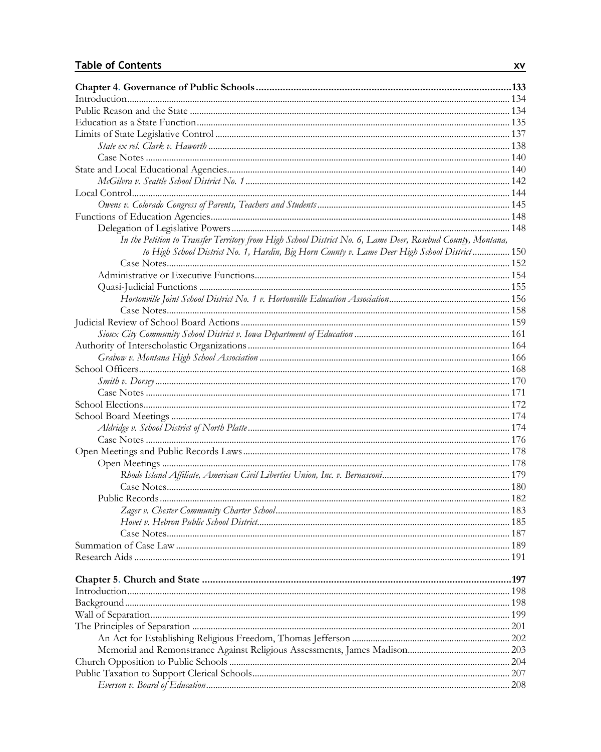| In the Petition to Transfer Territory from High School District No. 6, Lame Deer, Rosebud County, Montana, |  |
|------------------------------------------------------------------------------------------------------------|--|
| to High School District No. 1, Hardin, Big Horn County v. Lame Deer High School District  150              |  |
|                                                                                                            |  |
|                                                                                                            |  |
|                                                                                                            |  |
|                                                                                                            |  |
|                                                                                                            |  |
|                                                                                                            |  |
|                                                                                                            |  |
|                                                                                                            |  |
|                                                                                                            |  |
|                                                                                                            |  |
|                                                                                                            |  |
|                                                                                                            |  |
|                                                                                                            |  |
|                                                                                                            |  |
|                                                                                                            |  |
|                                                                                                            |  |
|                                                                                                            |  |
|                                                                                                            |  |
|                                                                                                            |  |
|                                                                                                            |  |
|                                                                                                            |  |
|                                                                                                            |  |
|                                                                                                            |  |
|                                                                                                            |  |
|                                                                                                            |  |
| Summation of Case Law                                                                                      |  |
|                                                                                                            |  |
|                                                                                                            |  |
|                                                                                                            |  |
|                                                                                                            |  |
|                                                                                                            |  |
|                                                                                                            |  |
|                                                                                                            |  |
|                                                                                                            |  |
|                                                                                                            |  |
|                                                                                                            |  |
|                                                                                                            |  |
|                                                                                                            |  |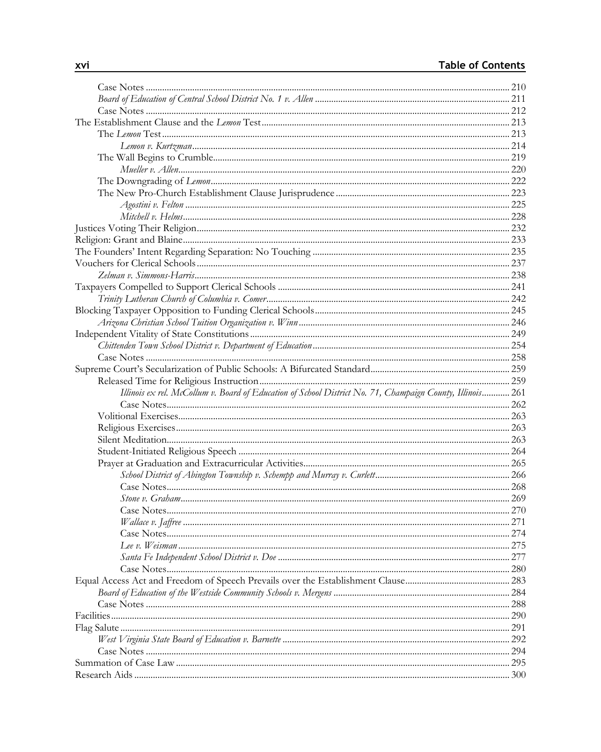| Illinois ex rel. McCollum v. Board of Education of School District No. 71, Champaign County, Illinois 261 |      |
|-----------------------------------------------------------------------------------------------------------|------|
|                                                                                                           |      |
|                                                                                                           |      |
|                                                                                                           |      |
|                                                                                                           |      |
|                                                                                                           |      |
|                                                                                                           |      |
|                                                                                                           |      |
|                                                                                                           |      |
|                                                                                                           |      |
|                                                                                                           |      |
|                                                                                                           |      |
|                                                                                                           |      |
| Lee v. Weisman                                                                                            | .275 |
|                                                                                                           |      |
|                                                                                                           |      |
|                                                                                                           |      |
|                                                                                                           |      |
|                                                                                                           |      |
|                                                                                                           |      |
|                                                                                                           |      |
|                                                                                                           |      |
|                                                                                                           | 294  |
|                                                                                                           |      |
|                                                                                                           |      |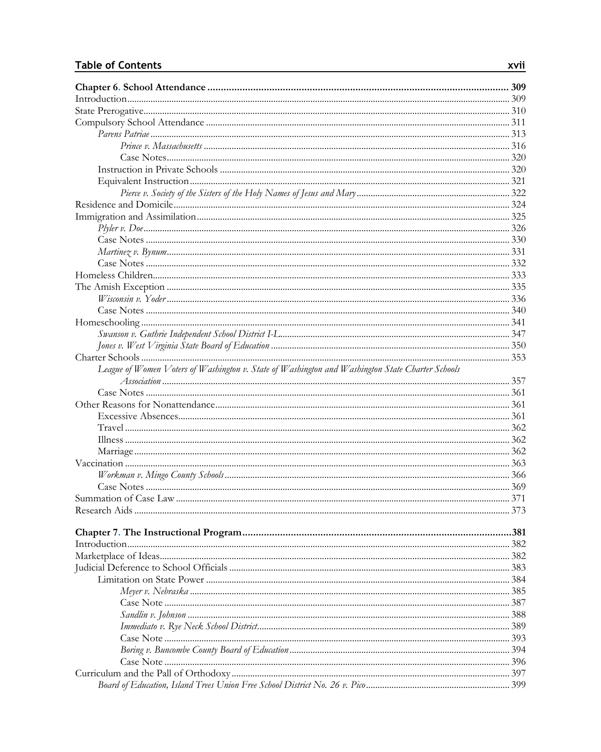| League of Women Voters of Washington v. State of Washington and Washington State Charter Schools |     |
|--------------------------------------------------------------------------------------------------|-----|
|                                                                                                  |     |
|                                                                                                  |     |
|                                                                                                  |     |
|                                                                                                  |     |
|                                                                                                  |     |
|                                                                                                  |     |
|                                                                                                  |     |
|                                                                                                  |     |
|                                                                                                  |     |
|                                                                                                  |     |
|                                                                                                  |     |
|                                                                                                  |     |
|                                                                                                  |     |
|                                                                                                  |     |
|                                                                                                  |     |
|                                                                                                  |     |
|                                                                                                  |     |
|                                                                                                  |     |
|                                                                                                  |     |
|                                                                                                  |     |
|                                                                                                  |     |
|                                                                                                  |     |
|                                                                                                  | 393 |
|                                                                                                  |     |
|                                                                                                  |     |
|                                                                                                  |     |
|                                                                                                  |     |
|                                                                                                  |     |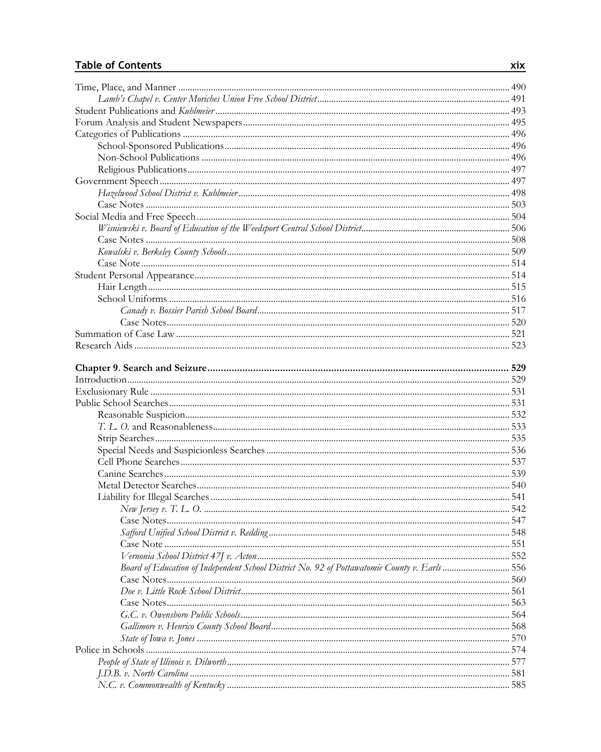| Board of Education of Independent School District No. 92 of Pottawatomie County v. Earls  556 |     |
|-----------------------------------------------------------------------------------------------|-----|
|                                                                                               |     |
|                                                                                               |     |
|                                                                                               |     |
|                                                                                               |     |
|                                                                                               |     |
|                                                                                               | 570 |
|                                                                                               |     |
|                                                                                               |     |
|                                                                                               |     |
|                                                                                               |     |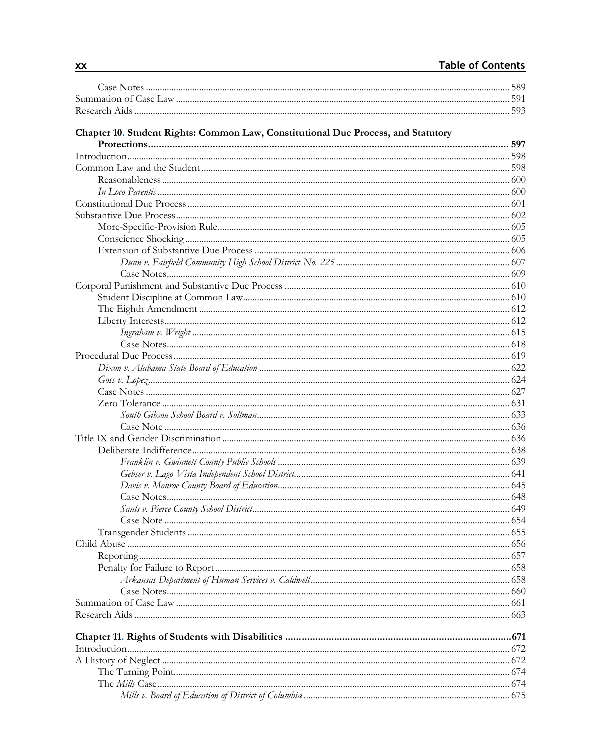| Chapter 10. Student Rights: Common Law, Constitutional Due Process, and Statutory |     |
|-----------------------------------------------------------------------------------|-----|
|                                                                                   |     |
|                                                                                   |     |
|                                                                                   |     |
|                                                                                   |     |
|                                                                                   |     |
|                                                                                   |     |
|                                                                                   |     |
|                                                                                   |     |
|                                                                                   |     |
|                                                                                   |     |
|                                                                                   |     |
|                                                                                   |     |
|                                                                                   |     |
|                                                                                   |     |
|                                                                                   |     |
|                                                                                   |     |
|                                                                                   |     |
|                                                                                   |     |
|                                                                                   |     |
|                                                                                   |     |
|                                                                                   |     |
|                                                                                   |     |
|                                                                                   |     |
|                                                                                   |     |
|                                                                                   |     |
|                                                                                   |     |
|                                                                                   |     |
|                                                                                   |     |
|                                                                                   |     |
|                                                                                   |     |
|                                                                                   |     |
|                                                                                   |     |
|                                                                                   |     |
|                                                                                   |     |
|                                                                                   |     |
| Child Abuse                                                                       | 656 |
|                                                                                   |     |
|                                                                                   |     |
|                                                                                   |     |
|                                                                                   |     |
|                                                                                   |     |
|                                                                                   |     |
|                                                                                   |     |
|                                                                                   |     |
|                                                                                   |     |
|                                                                                   |     |
|                                                                                   |     |
|                                                                                   |     |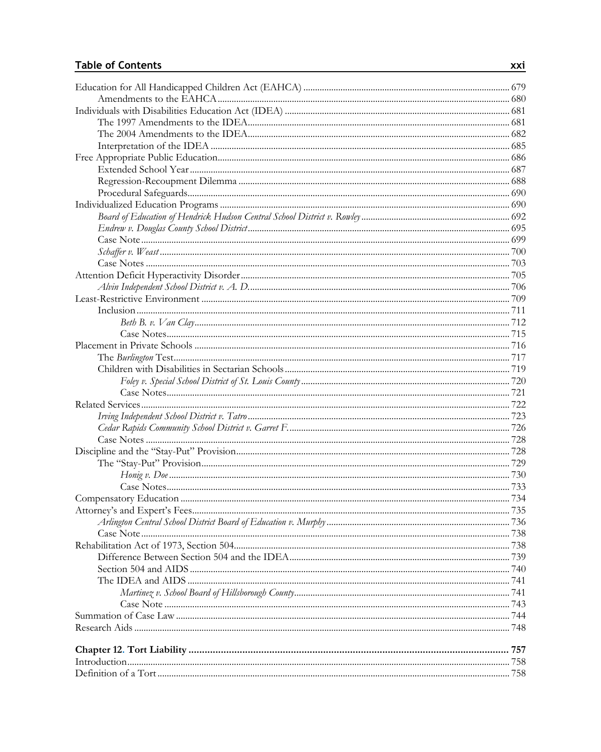| .738 |
|------|
|      |
|      |
|      |
|      |
|      |
|      |
|      |
|      |
|      |
|      |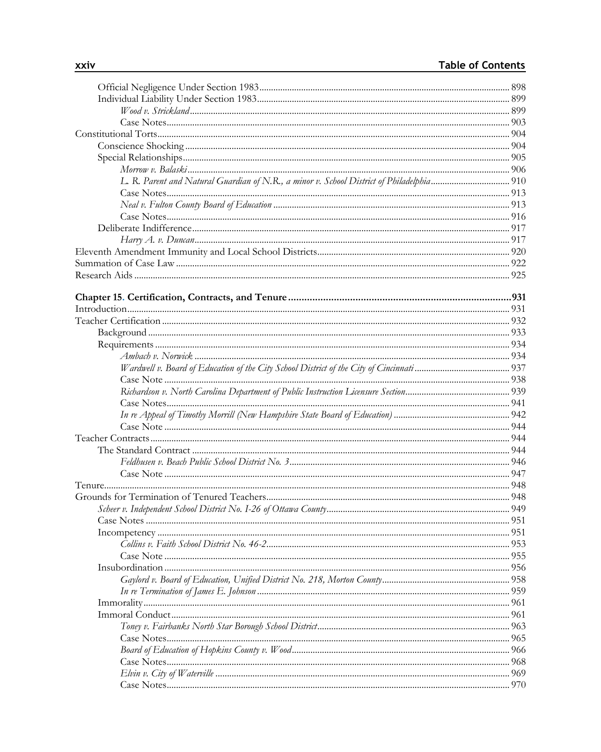| L. R. Parent and Natural Guardian of N.R., a minor v. School District of Philadelphia 910 |  |
|-------------------------------------------------------------------------------------------|--|
|                                                                                           |  |
|                                                                                           |  |
|                                                                                           |  |
|                                                                                           |  |
|                                                                                           |  |
|                                                                                           |  |
|                                                                                           |  |
|                                                                                           |  |
|                                                                                           |  |
|                                                                                           |  |
|                                                                                           |  |
|                                                                                           |  |
|                                                                                           |  |
|                                                                                           |  |
|                                                                                           |  |
|                                                                                           |  |
|                                                                                           |  |
|                                                                                           |  |
|                                                                                           |  |
|                                                                                           |  |
|                                                                                           |  |
|                                                                                           |  |
|                                                                                           |  |
|                                                                                           |  |
|                                                                                           |  |
|                                                                                           |  |
|                                                                                           |  |
|                                                                                           |  |
|                                                                                           |  |
|                                                                                           |  |
|                                                                                           |  |
|                                                                                           |  |
|                                                                                           |  |
|                                                                                           |  |
|                                                                                           |  |
|                                                                                           |  |
|                                                                                           |  |
|                                                                                           |  |
|                                                                                           |  |
|                                                                                           |  |
|                                                                                           |  |
|                                                                                           |  |
|                                                                                           |  |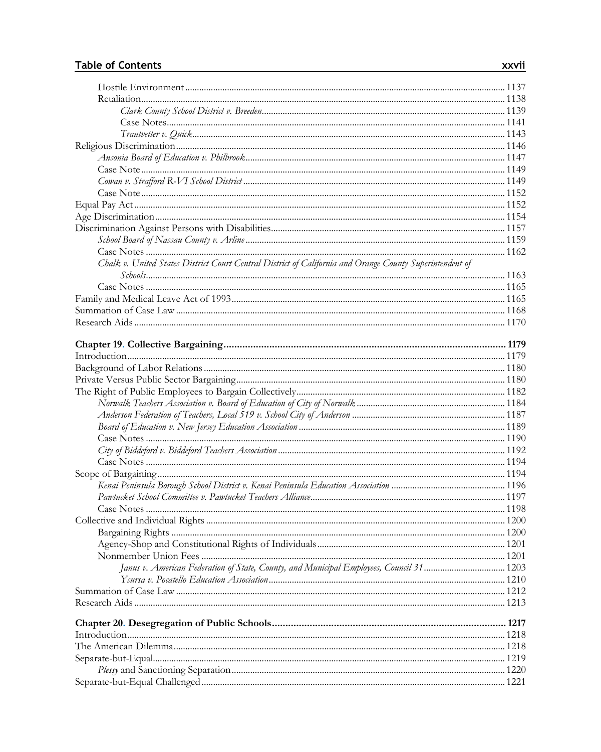| Chalk v. United States District Court Central District of California and Orange County Superintendent of |  |
|----------------------------------------------------------------------------------------------------------|--|
|                                                                                                          |  |
|                                                                                                          |  |
|                                                                                                          |  |
|                                                                                                          |  |
|                                                                                                          |  |
|                                                                                                          |  |
|                                                                                                          |  |
|                                                                                                          |  |
|                                                                                                          |  |
|                                                                                                          |  |
|                                                                                                          |  |
|                                                                                                          |  |
|                                                                                                          |  |
|                                                                                                          |  |
|                                                                                                          |  |
|                                                                                                          |  |
|                                                                                                          |  |
|                                                                                                          |  |
|                                                                                                          |  |
|                                                                                                          |  |
|                                                                                                          |  |
|                                                                                                          |  |
|                                                                                                          |  |
|                                                                                                          |  |
|                                                                                                          |  |
| Janus v. American Federation of State, County, and Municipal Employees, Council 31 1203                  |  |
|                                                                                                          |  |
|                                                                                                          |  |
|                                                                                                          |  |
|                                                                                                          |  |
|                                                                                                          |  |
|                                                                                                          |  |
|                                                                                                          |  |
|                                                                                                          |  |
|                                                                                                          |  |
|                                                                                                          |  |